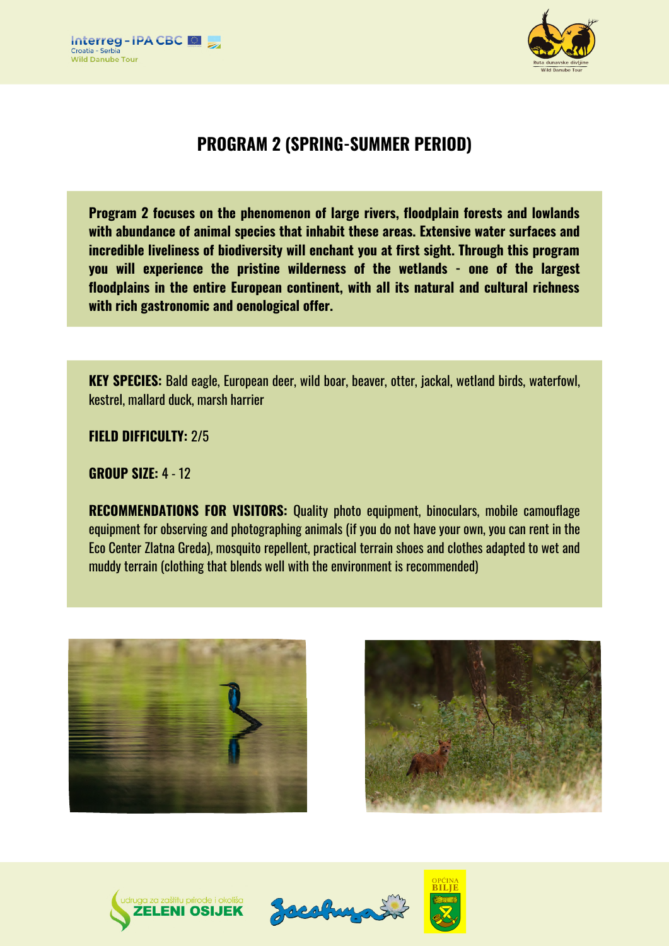



# **PROGRAM 2 (SPRING-SUMMER PERIOD)**

**Program 2 focuses on the phenomenon of large rivers, floodplain forests and lowlands with abundance of animal species that inhabit these areas. Extensive water surfaces and incredible liveliness of biodiversity will enchant you at first sight. Through this program you will experience the pristine wilderness of the wetlands - one of the largest floodplains in the entire European continent, with all its natural and cultural richness with rich gastronomic and oenological offer.**

**KEY SPECIES:** Bald eagle, European deer, wild boar, beaver, otter, jackal, wetland birds, waterfowl, kestrel, mallard duck, marsh harrier

**FIELD DIFFICULTY:** 2/5

**GROUP SIZE:** 4 - 12

**RECOMMENDATIONS FOR VISITORS:** Quality photo equipment, binoculars, mobile camouflage equipment for observing and photographing animals (if you do not have your own, you can rent in the Eco Center Zlatna Greda), mosquito repellent, practical terrain shoes and clothes adapted to wet and muddy terrain (clothing that blends well with the environment is recommended)









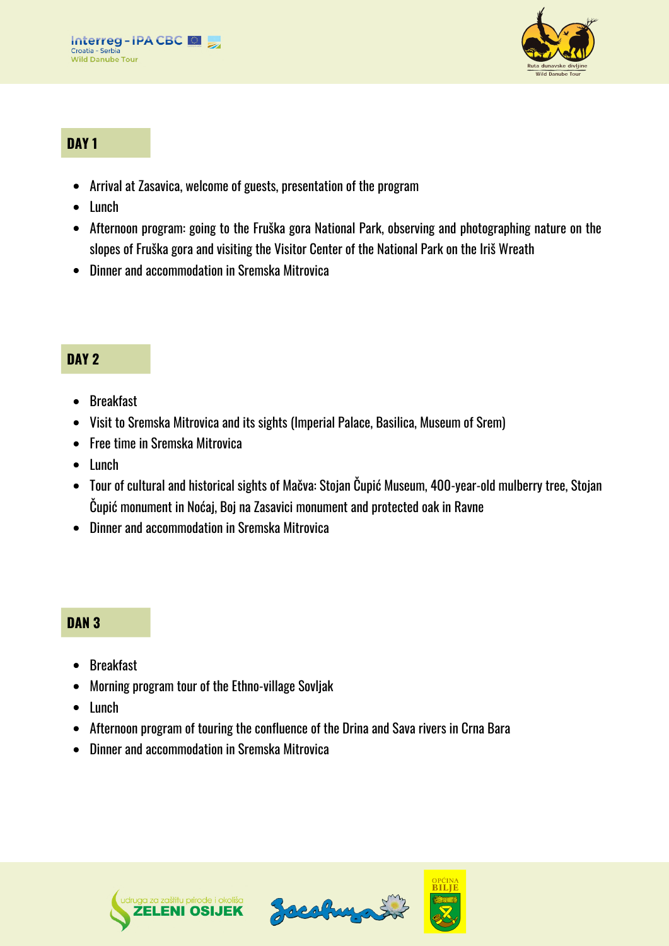



## **DAY 1**

- Arrival at Zasavica, welcome of guests, presentation of the program
- $\bullet$  Lunch
- Afternoon program: going to the Fruška gora National Park, observing and photographing nature on the slopes of Fruška gora and visiting the Visitor Center of the National Park on the Iriš Wreath
- Dinner and accommodation in Sremska Mitrovica

#### **DAY 2**

- Breakfast
- Visit to Sremska Mitrovica and its sights (Imperial Palace, Basilica, Museum of Srem)
- Free time in Sremska Mitrovica
- $\bullet$  lunch
- Tour of cultural and historical sights of Mačva: Stojan Čupić Museum, 400-year-old mulberry tree, Stojan Čupić monument in Noćaj, Boj na Zasavici monument and protected oak in Ravne
- Dinner and accommodation in Sremska Mitrovica

#### **DAN 3**

- Breakfast
- Morning program tour of the Ethno-village Sovljak
- Lunch
- Afternoon program of touring the confluence of the Drina and Sava rivers in Crna Bara
- Dinner and accommodation in Sremska Mitrovica